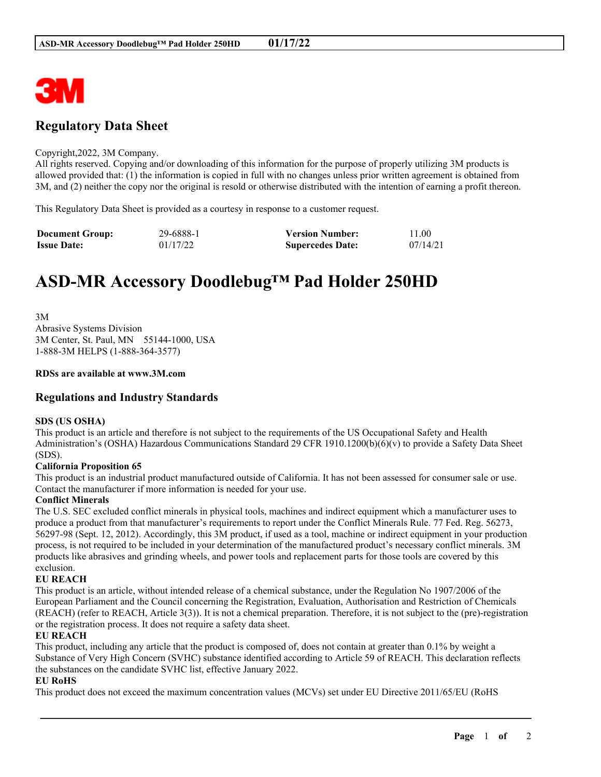

## **Regulatory Data Sheet**

#### Copyright,2022, 3M Company.

All rights reserved. Copying and/or downloading of this information for the purpose of properly utilizing 3M products is allowed provided that: (1) the information is copied in full with no changes unless prior written agreement is obtained from 3M, and (2) neither the copy nor the original is resold or otherwise distributed with the intention of earning a profit thereon.

This Regulatory Data Sheet is provided as a courtesy in response to a customer request.

| <b>Document Group:</b> | 29-6888-1 | <b>Version Number:</b>  | 11.00    |
|------------------------|-----------|-------------------------|----------|
| <b>Issue Date:</b>     | 01/17/22  | <b>Supercedes Date:</b> | 07/14/21 |

# **ASD-MR Accessory Doodlebug™ Pad Holder 250HD**

3M Abrasive Systems Division 3M Center, St. Paul, MN 55144-1000, USA 1-888-3M HELPS (1-888-364-3577)

#### **RDSs are available at www.3M.com**

## **Regulations and Industry Standards**

#### **SDS (US OSHA)**

This product is an article and therefore is not subject to the requirements of the US Occupational Safety and Health Administration's (OSHA) Hazardous Communications Standard 29 CFR 1910.1200(b)(6)(v) to provide a Safety Data Sheet (SDS).

#### **California Proposition 65**

This product is an industrial product manufactured outside of California. It has not been assessed for consumer sale or use. Contact the manufacturer if more information is needed for your use.

#### **Conflict Minerals**

The U.S. SEC excluded conflict minerals in physical tools, machines and indirect equipment which a manufacturer uses to produce a product from that manufacturer's requirements to report under the Conflict Minerals Rule. 77 Fed. Reg. 56273, 56297-98 (Sept. 12, 2012). Accordingly, this 3M product, if used as a tool, machine or indirect equipment in your production process, is not required to be included in your determination of the manufactured product's necessary conflict minerals. 3M products like abrasives and grinding wheels, and power tools and replacement parts for those tools are covered by this exclusion.

### **EU REACH**

This product is an article, without intended release of a chemical substance, under the Regulation No 1907/2006 of the European Parliament and the Council concerning the Registration, Evaluation, Authorisation and Restriction of Chemicals (REACH) (refer to REACH, Article 3(3)). It is not a chemical preparation. Therefore, it is not subject to the (pre)-registration or the registration process. It does not require a safety data sheet.

#### **EU REACH**

This product, including any article that the product is composed of, does not contain at greater than 0.1% by weight a Substance of Very High Concern (SVHC) substance identified according to Article 59 of REACH. This declaration reflects the substances on the candidate SVHC list, effective January 2022.

\_\_\_\_\_\_\_\_\_\_\_\_\_\_\_\_\_\_\_\_\_\_\_\_\_\_\_\_\_\_\_\_\_\_\_\_\_\_\_\_\_\_\_\_\_\_\_\_\_\_\_\_\_\_\_\_\_\_\_\_\_\_\_\_\_\_\_\_\_\_\_\_\_\_\_\_\_\_\_\_\_\_\_\_\_\_\_\_\_\_

#### **EU RoHS**

This product does not exceed the maximum concentration values (MCVs) set under EU Directive 2011/65/EU (RoHS